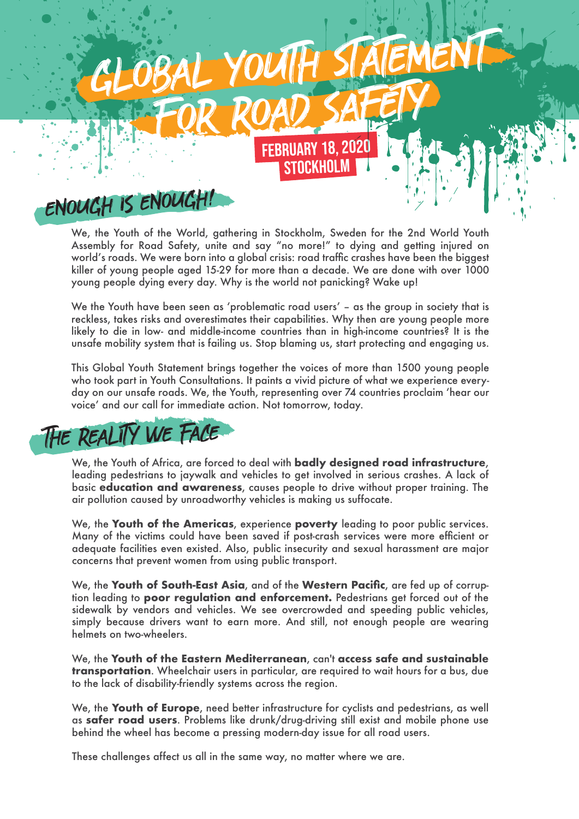

We, the Youth of the World, gathering in Stockholm, Sweden for the 2nd World Youth Assembly for Road Safety, unite and say "no more!" to dying and getting injured on world's roads. We were born into a global crisis: road traffic crashes have been the biggest killer of young people aged 15-29 for more than a decade. We are done with over 1000 young people dying every day. Why is the world not panicking? Wake up!

We the Youth have been seen as ʻproblematic road users' – as the group in society that is reckless, takes risks and overestimates their capabilities. Why then are young people more likely to die in low- and middle-income countries than in high-income countries? It is the unsafe mobility system that is failing us. Stop blaming us, start protecting and engaging us.

This Global Youth Statement brings together the voices of more than 1500 young people who took part in Youth Consultations. It paints a vivid picture of what we experience everyday on our unsafe roads. We, the Youth, representing over 74 countries proclaim ʻhear our voice' and our call for immediate action. Not tomorrow, today.



We, the Youth of Africa, are forced to deal with **badly designed road infrastructure**, leading pedestrians to jaywalk and vehicles to get involved in serious crashes. A lack of basic **education and awareness**, causes people to drive without proper training. The air pollution caused by unroadworthy vehicles is making us suffocate.

We, the **Youth of the Americas**, experience **poverty** leading to poor public services. Many of the victims could have been saved if post-crash services were more efficient or adequate facilities even existed. Also, public insecurity and sexual harassment are major concerns that prevent women from using public transport.

We, the **Youth of South-East Asia**, and of the **Western Pacific**, are fed up of corruption leading to **poor regulation and enforcement.** Pedestrians get forced out of the sidewalk by vendors and vehicles. We see overcrowded and speeding public vehicles, simply because drivers want to earn more. And still, not enough people are wearing helmets on two-wheelers.

We, the **Youth of the Eastern Mediterranean**, can't **access safe and sustainable transportation**. Wheelchair users in particular, are required to wait hours for a bus, due to the lack of disability-friendly systems across the region.

We, the **Youth of Europe**, need better infrastructure for cyclists and pedestrians, as well as **safer road users**. Problems like drunk/drug-driving still exist and mobile phone use behind the wheel has become a pressing modern-day issue for all road users.

These challenges affect us all in the same way, no matter where we are.